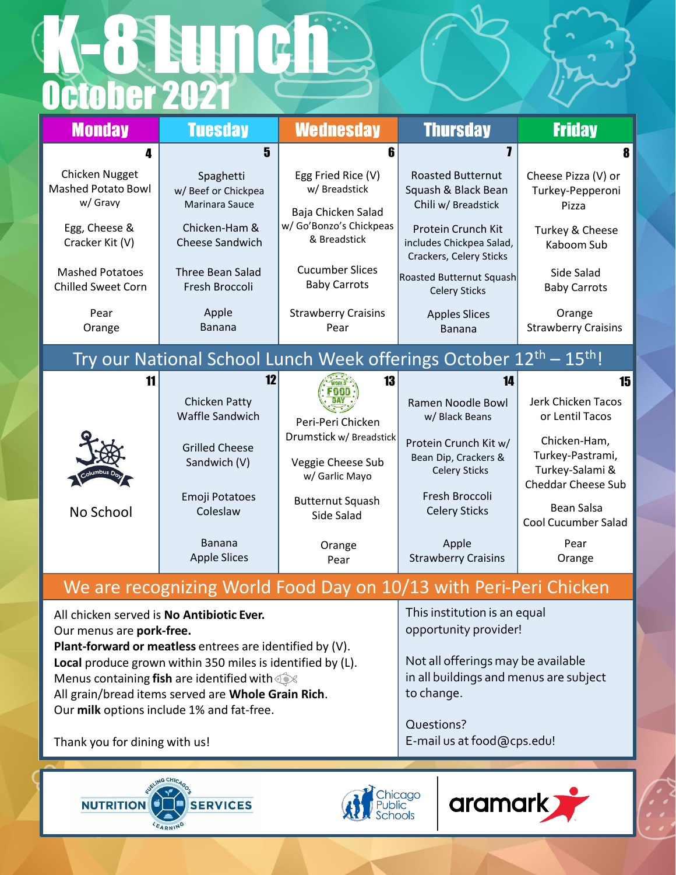## October 2021 K-8 Lunch

| <b>Monday</b>                                                                               | <b>Tuesday</b>                                                                                       | <b>Wednesday</b>                                                                                     | <b>Thursday</b>                                                                                                                                     | <b>Friday</b>                                                                     |  |  |
|---------------------------------------------------------------------------------------------|------------------------------------------------------------------------------------------------------|------------------------------------------------------------------------------------------------------|-----------------------------------------------------------------------------------------------------------------------------------------------------|-----------------------------------------------------------------------------------|--|--|
| 4                                                                                           | 5                                                                                                    | ĥ                                                                                                    | 7                                                                                                                                                   | 8                                                                                 |  |  |
| Chicken Nugget<br><b>Mashed Potato Bowl</b><br>w/ Gravy<br>Egg, Cheese &<br>Cracker Kit (V) | Spaghetti<br>w/ Beef or Chickpea<br><b>Marinara Sauce</b><br>Chicken-Ham &<br><b>Cheese Sandwich</b> | Egg Fried Rice (V)<br>w/ Breadstick<br>Baja Chicken Salad<br>w/ Go'Bonzo's Chickpeas<br>& Breadstick | <b>Roasted Butternut</b><br>Squash & Black Bean<br>Chili w/ Breadstick<br>Protein Crunch Kit<br>includes Chickpea Salad,<br>Crackers, Celery Sticks | Cheese Pizza (V) or<br>Turkey-Pepperoni<br>Pizza<br>Turkey & Cheese<br>Kaboom Sub |  |  |
| <b>Mashed Potatoes</b><br><b>Chilled Sweet Corn</b>                                         | <b>Three Bean Salad</b><br>Fresh Broccoli                                                            | <b>Cucumber Slices</b><br><b>Baby Carrots</b>                                                        | Roasted Butternut Squash<br><b>Celery Sticks</b>                                                                                                    | Side Salad<br><b>Baby Carrots</b>                                                 |  |  |
| Pear<br>Orange                                                                              | Apple<br><b>Banana</b>                                                                               | <b>Strawberry Craisins</b><br>Pear                                                                   | <b>Apples Slices</b><br><b>Banana</b>                                                                                                               | Orange<br><b>Strawberry Craisins</b>                                              |  |  |
| Try our National School Lunch Week offerings October 12 <sup>th</sup> – 15 <sup>th</sup> !  |                                                                                                      |                                                                                                      |                                                                                                                                                     |                                                                                   |  |  |
| 11                                                                                          | 17<br><b>Chicken Patty</b><br><b>Waffle Sandwich</b>                                                 | 13<br>Peri-Peri Chicken                                                                              | 14<br>Ramen Noodle Bowl<br>w/ Black Beans                                                                                                           | 15<br>Jerk Chicken Tacos<br>or Lentil Tacos                                       |  |  |
|                                                                                             | <b>Grilled Cheese</b><br>Sandwich (V)                                                                | Drumstick w/ Breadstick<br>Veggie Cheese Sub<br>w/ Garlic Mayo                                       | Protein Crunch Kit w/<br>Bean Dip, Crackers &<br><b>Celery Sticks</b>                                                                               | Chicken-Ham,<br>Turkey-Pastrami,<br>Turkey-Salami &<br><b>Cheddar Cheese Sub</b>  |  |  |
| No School                                                                                   | Emoji Potatoes<br>Coleslaw                                                                           | <b>Butternut Squash</b><br>Side Salad                                                                | Fresh Broccoli<br><b>Celery Sticks</b>                                                                                                              | <b>Bean Salsa</b><br><b>Cool Cucumber Salad</b>                                   |  |  |
|                                                                                             | Banana<br><b>Apple Slices</b>                                                                        | Orange<br>Pear                                                                                       | Apple<br><b>Strawberry Craisins</b>                                                                                                                 | Pear<br>Orange                                                                    |  |  |
| We are recognizing World Food Day on 10/13 with Peri-Peri Chicken                           |                                                                                                      |                                                                                                      |                                                                                                                                                     |                                                                                   |  |  |

All chicken served is **No Antibiotic Ever.** Our menus are **pork-free. Plant-forward or meatless** entrees are identified by (V). **Local** produce grown within 350 miles is identified by (L). Menus containing **fish** are identified with All grain/bread items served are **Whole Grain Rich**. Our **milk** options include 1% and fat-free.

This institution is an equal opportunity provider!

Not all offerings may be available in all buildings and menus are subject to change.

Questions? E-mail us at food@cps.edu!

Thank you for dining with us!